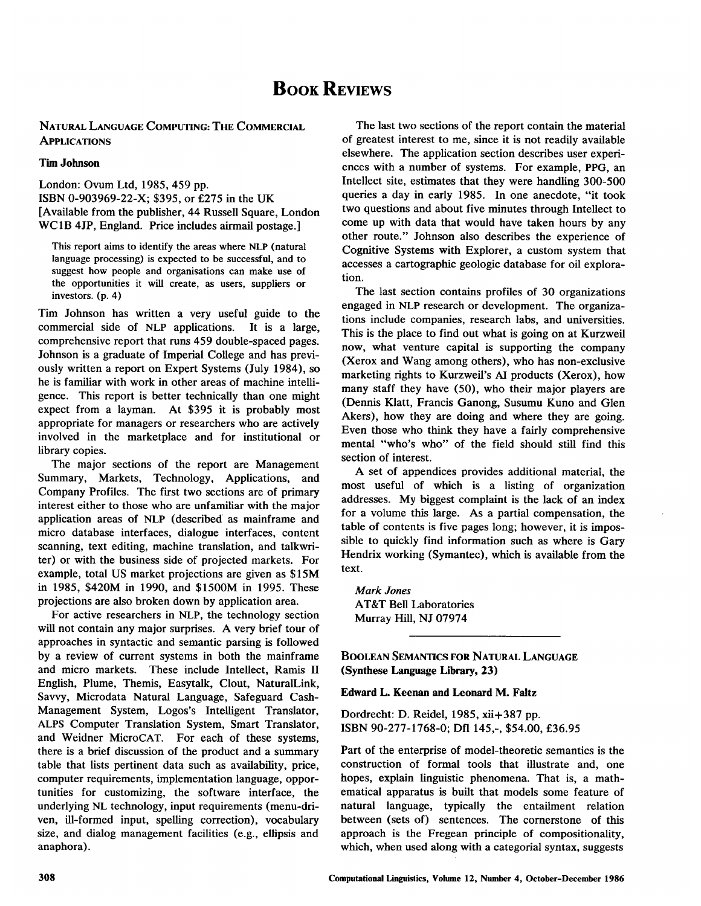# **BOOK REVIEWS**

NATURAL LANGUAGE COMPUTING: THE COMMERCIAL **APPLICATIONS** 

#### Tim Johnson

London: Ovum Ltd, 1985, 459 pp. ISBN 0-903969-22-X; \$395, or £275 in the UK [Available from the publisher, 44 Russell Square, London WC 1B 4JP, England. Price includes airmail postage.]

This report aims to identify the areas where NLP (natural language processing) is expected to be successful, and to suggest how people and organisations can make use of the opportunities it will create, as users, suppliers or investors. (p. 4)

Tim Johnson has written a very useful guide to the commercial side of NLP applications. It is a large, comprehensive report that runs 459 double-spaced pages. Johnson is a graduate of imperial College and has previously written a report on Expert Systems (July 1984), so he is familiar with work in other areas of machine intelligence. This report is better technically than one might expect from a layman. At \$395 it is probably most appropriate for managers or researchers who are actively involved in the marketplace and for institutional or library copies.

The major sections of the report are Management Summary, Markets, Technology, Applications, and Company Profiles. The first two sections are of primary interest either to those who are unfamiliar with the major application areas of NLP (described as mainframe and micro database interfaces, dialogue interfaces, content scanning, text editing, machine translation, and talkwriter) or with the business side of projected markets. For example, total US market projections are given as \$15M in 1985, \$420M in 1990, and \$1500M in 1995. These projections are also broken down by application area.

For active researchers in NLP, the technology section will not contain any major surprises. A very brief tour of approaches in syntactic and semantic parsing is followed by a review of current systems in both the mainframe and micro markets. These include Intellect, Ramis II English, Plume, Themis, Easytalk, Clout, NaturalLink, Savvy, Microdata Natural Language, Safeguard Cash-Management System, Logos's Intelligent Translator, ALPS Computer Translation System, Smart Translator, and Weidner MicroCAT. For each of these systems, there is a brief discussion of the product and a summary table that lists pertinent data such as availability, price, computer requirements, implementation language, opportunities for customizing, the software interface, the underlying NL technology, input requirements (menu-driven, ill-formed input, spelling correction), vocabulary size, and dialog management facilities (e.g., ellipsis and anaphora).

The last two sections of the report contain the material of greatest interest to me, since it is not readily available elsewhere. The application section describes user experiences with a number of systems. For example, PPG, an Intellect site, estimates that they were handling 300-500 queries a day in early 1985. In one anecdote, "it took two questions and about five minutes through Intellect to come up with data that would have taken hours by any other route." Johnson also describes the experience of Cognitive Systems with Explorer, a custom system that accesses a cartographic geologic database for oil exploration.

The last section contains profiles of 30 organizations engaged in NLP research or development. The organizations include companies, research labs, and universities. This is the place to find out what is going on at Kurzweil now, what venture capital is supporting the company (Xerox and Wang among others), who has non-exclusive marketing rights to Kurzweil's AI products (Xerox), how many staff they have (50), who their major players are (Dennis Klatt, Francis Ganong, Susumu Kuno and Glen Akers), how they are doing and where they are going. Even those who think they have a fairly comprehensive mental "who's who" of the field should still find this section of interest.

A set of appendices provides additional material, the most useful of which is a listing of organization addresses. My biggest complaint is the lack of an index for a volume this large. As a partial compensation, the table of contents is five pages long; however, it is impossible to quickly find information such as where is Gary Hendrix working (Symantec), which is available from the text.

*Mark Jones*  AT&T Bell Laboratories Murray Hill, NJ 07974

BOOLEAN SEMANTICS FOR NATURAL LANGUAGE (Synthese Language Library, 23)

#### **Edward L. Keenan and Leonard M. Faltz**

Dordrecht: D. Reidel, 1985, xii+387 pp. ISBN 90-277-1768-0; Dfl 145,-, \$54.00, £36.95

Part of the enterprise of model-theoretic semantics is the construction of formal tools that illustrate and, one hopes, explain linguistic phenomena. That is, a mathematical apparatus is built that models some feature of natural language, typically the entailment relation between (sets of) sentences. The cornerstone of this approach is the Fregean principle of compositionality, which, when used along with a categorial syntax, suggests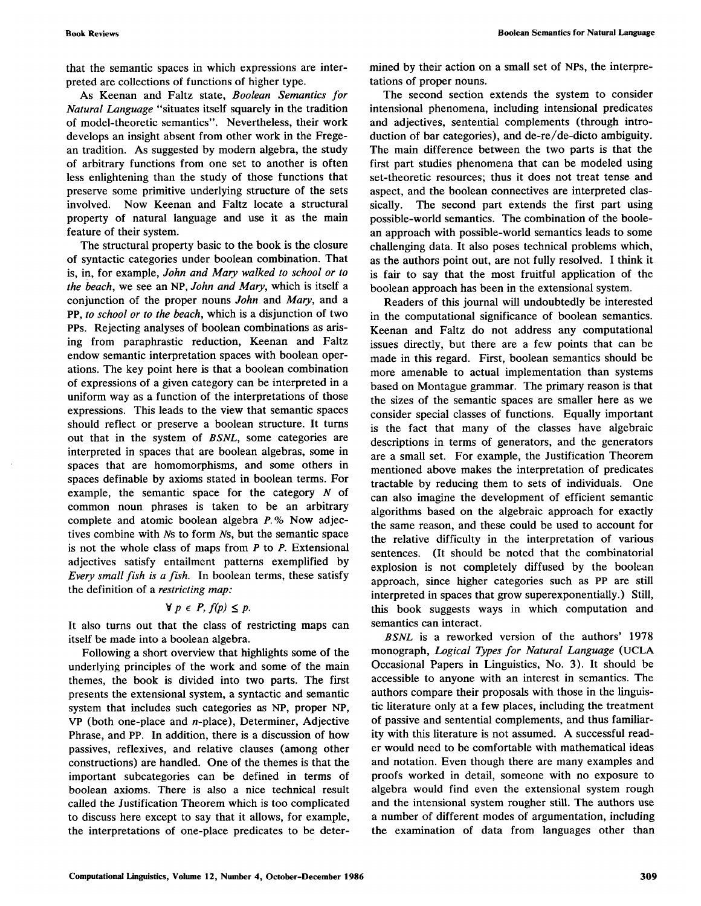that the semantic spaces in which expressions are interpreted are collections of functions of higher type.

As Keenan and Faltz state, *Boolean Semantics for Natural Language* "situates itself squarely in the tradition of model-theoretic semantics". Nevertheless, their work develops an insight absent from other work in the Fregean tradition. As suggested by modern algebra, the study of arbitrary functions from one set to another is often less enlightening than the study of those functions that preserve some primitive underlying structure of the sets involved. Now Keenan and Faltz locate a structural property of natural language and use it as the main feature of their system.

The structural property basic to the book is the closure of syntactic categories under boolean combination. That is, in, for example, *John and Mary walked to school or to the beach,* we see an NP, *John and Mary,* which is itself a conjunction of the proper nouns *John* and *Mary,* and a PP, *to school or to the beach,* which is a disjunction of two PPs. Rejecting analyses of boolean combinations as arising from paraphrastic reduction, Keenan and Faltz endow semantic interpretation spaces with boolean operations. The key point here is that a boolean combination of expressions of a given category can be interpreted in a uniform way as a function of the interpretations of those expressions. This leads to the view that semantic spaces should reflect or preserve a boolean structure. It turns out that in the system of *BSNL,* some categories are interpreted in spaces that are boolean algebras, some in spaces that are homomorphisms, and some others in spaces definable by axioms stated in boolean terms. For example, the semantic space for the category  $N$  of common noun phrases is taken to be an arbitrary complete and atomic boolean algebra P. % Now adjectives combine with Ns to form Ns, but the semantic space is not the whole class of maps from  $P$  to  $P$ . Extensional adjectives satisfy entailment patterns exemplified by *Every small fish is a fish.* In boolean terms, these satisfy the definition of a *restricting map:* 

### $\forall p \in P, f(p) \leq p.$

It also turns out that the class of restricting maps can itself be made into a boolean algebra.

Following a short overview that highlights some of the underlying principles of the work and some of the main themes, the book is divided into two parts. The first presents the extensional system, a syntactic and semantic system that includes such categories as NP, proper NP, VP (both one-place and n-place), Determiner, Adjective Phrase, and PP. In addition, there is a discussion of how passives, reflexives, and relative clauses (among other constructions) are handled. One of the themes is that the important subcategories can be defined in terms of boolean axioms. There is also a nice technical result called the Justification Theorem which is too complicated to discuss here except to say that it allows, for example, the interpretations of one-place predicates to be determined by their action on a small set of NPs, the interpretations of proper nouns.

The second section extends the system to consider intensional phenomena, including intensional predicates and adjectives, sentential complements (through introduction of bar categories), and de-re/de-dicto ambiguity. The main difference between the two parts is that the first part studies phenomena that can be modeled using set-theoretic resources; thus it does not treat tense and aspect, and the boolean connectives are interpreted classically. The second part extends the first part using possible-world semantics. The combination of the boolean approach with possible-world semantics leads to some challenging data. It also poses technical problems which, as the authors point out, are not fully resolved. I think it is fair to say that the most fruitful application of the boolean approach has been in the extensional system.

Readers of this journal will undoubtedly be interested in the computational significance of boolean semantics. Keenan and Faltz do not address any computational issues directly, but there are a few points that can be made in this regard. First, boolean semantics should be more amenable to actual implementation than systems based on Montague grammar. The primary reason is that the sizes of the semantic spaces are smaller here as we consider special classes of functions. Equally important is the fact that many of the classes have algebraic descriptions in terms of generators, and the generators are a small set. For example, the Justification Theorem mentioned above makes the interpretation of predicates tractable by reducing them to sets of individuals. One can also imagine the development of efficient semantic algorithms based on the algebraic approach for exactly the same reason, and these could be used to account for the relative difficulty in the interpretation of various sentences. (It should be noted that the combinatorial explosion is not completely diffused by the boolean approach, since higher categories such as PP are still interpreted in spaces that grow superexponentially.) Still, this book suggests ways in which computation and semantics can interact.

*BSNL* is a reworked version of the authors' 1978 monograph, *Logical Types for Natural Language* (UCLA Occasional Papers in Linguistics, No. 3). It should be accessible to anyone with an interest in semantics. The authors compare their proposals with those in the linguistic literature only at a few places, including the treatment of passive and sentential complements, and thus familiarity with this literature is not assumed. A successful reader would need to be comfortable with mathematical ideas and notation. Even though there are many examples and proofs worked in detail, someone with no exposure to algebra would find even the extensional system rough and the intensional system rougher still. The authors use a number of different modes of argumentation, including the examination of data from languages other than